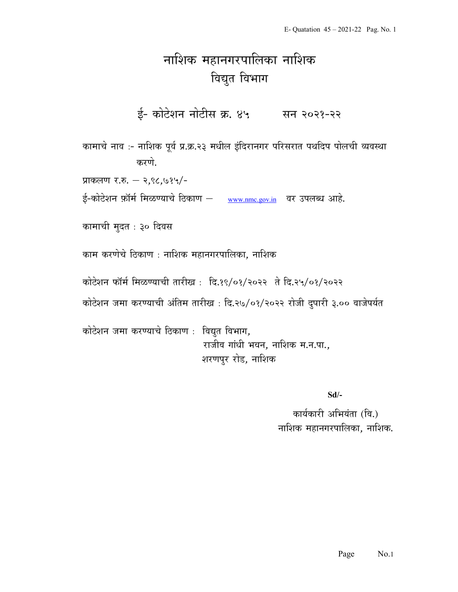## नाशिक महानगरपालिका नाशिक विद्युत विभाग

ई- कोटेशन नोटीस क्र. ४५ सन २०२१-२२

कामाचे नाव :- नाशिक पूर्व प्र.क्र.२३ मधील इंदिरानगर परिसरात पथदिप पोलची व्यवस्था करणे.

प्राकलण र.रु. – २,९८,७१५/-

ई-कोटेशन फ़ॉर्म मिळण्याचे ठिकाण – www.nmc.gov.in वर उपलब्ध आहे.

कामाची मुदत : ३० दिवस

काम करणेचे ठिकाण : नाशिक महानगरपालिका, नाशिक

कोटेशन फॉर्म मिळण्याची तारीख: दि.१९/०१/२०२२ ते दि.२५/०१/२०२२

कोटेशन जमा करण्याची अंतिम तारीख : दि.२७/०१/२०२२ रोजी दुपारी ३.०० वाजेपर्यत

कोटेशन जमा करण्याचे ठिकाण : विद्युत विभाग, राजीव गांधी भवन, नाशिक म.न.पा., शरणपुर रोड, नाशिक

Sd/-

कार्यकारी अभियंता (वि.) नाशिक महानगरपालिका, नाशिक.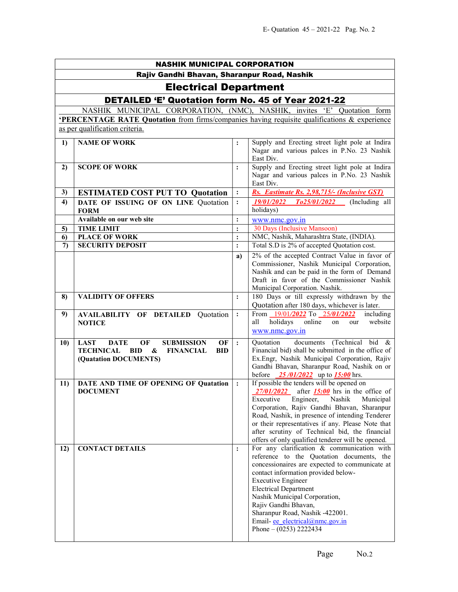| <b>NASHIK MUNICIPAL CORPORATION</b>         |                                                                                                                                                        |                            |                                                                                                                                                                                                                                                                                                                                                                                                           |
|---------------------------------------------|--------------------------------------------------------------------------------------------------------------------------------------------------------|----------------------------|-----------------------------------------------------------------------------------------------------------------------------------------------------------------------------------------------------------------------------------------------------------------------------------------------------------------------------------------------------------------------------------------------------------|
| Rajiv Gandhi Bhavan, Sharanpur Road, Nashik |                                                                                                                                                        |                            |                                                                                                                                                                                                                                                                                                                                                                                                           |
| <b>Electrical Department</b>                |                                                                                                                                                        |                            |                                                                                                                                                                                                                                                                                                                                                                                                           |
|                                             | <b>DETAILED 'E' Quotation form No. 45 of Year 2021-22</b>                                                                                              |                            |                                                                                                                                                                                                                                                                                                                                                                                                           |
|                                             | NASHIK MUNICIPAL CORPORATION, (NMC), NASHIK, invites 'E' Quotation form                                                                                |                            |                                                                                                                                                                                                                                                                                                                                                                                                           |
|                                             | <b>PERCENTAGE RATE Quotation</b> from firms/companies having requisite qualifications & experience                                                     |                            |                                                                                                                                                                                                                                                                                                                                                                                                           |
|                                             | as per qualification criteria.                                                                                                                         |                            |                                                                                                                                                                                                                                                                                                                                                                                                           |
| 1)                                          | <b>NAME OF WORK</b>                                                                                                                                    |                            | Supply and Erecting street light pole at Indira<br>Nagar and various palces in P.No. 23 Nashik<br>East Div.                                                                                                                                                                                                                                                                                               |
| 2)                                          | <b>SCOPE OF WORK</b>                                                                                                                                   | $\ddot{\cdot}$             | Supply and Erecting street light pole at Indira<br>Nagar and various palces in P.No. 23 Nashik<br>East Div.                                                                                                                                                                                                                                                                                               |
| 3)                                          | <b>ESTIMATED COST PUT TO Quotation</b>                                                                                                                 | $\ddot{\cdot}$             | Rs. Eastimate Rs. 2,98,715/- (Inclusive GST)                                                                                                                                                                                                                                                                                                                                                              |
| 4)                                          | DATE OF ISSUING OF ON LINE Quotation<br><b>FORM</b>                                                                                                    | $\ddot{\cdot}$             | 19/01/2022<br>To25/01/2022<br>(Including all<br>holidays)                                                                                                                                                                                                                                                                                                                                                 |
|                                             | Available on our web site                                                                                                                              | $\ddot{\cdot}$             | www.nmc.gov.in                                                                                                                                                                                                                                                                                                                                                                                            |
| 5)<br>6)                                    | <b>TIME LIMIT</b><br><b>PLACE OF WORK</b>                                                                                                              | $\vdots$<br>$\ddot{\cdot}$ | 30 Days (Inclusive Mansoon)<br>NMC, Nashik, Maharashtra State, (INDIA).                                                                                                                                                                                                                                                                                                                                   |
| 7)                                          | <b>SECURITY DEPOSIT</b>                                                                                                                                | $\ddot{\cdot}$             | Total S.D is 2% of accepted Quotation cost.                                                                                                                                                                                                                                                                                                                                                               |
|                                             |                                                                                                                                                        | a)                         | 2% of the accepted Contract Value in favor of<br>Commissioner, Nashik Municipal Corporation,<br>Nashik and can be paid in the form of Demand<br>Draft in favor of the Commissioner Nashik<br>Municipal Corporation. Nashik.                                                                                                                                                                               |
| 8)                                          | <b>VALIDITY OF OFFERS</b>                                                                                                                              | $\ddot{\cdot}$             | 180 Days or till expressly withdrawn by the<br>Quotation after 180 days, whichever is later.                                                                                                                                                                                                                                                                                                              |
| 9)                                          | <b>AVAILABILITY OF DETAILED Quotation</b><br><b>NOTICE</b>                                                                                             | $\ddot{\cdot}$             | From 19/01/2022 To 25/01/2022<br>including<br>holidays<br>online<br>website<br>all<br>on<br>our<br>www.nmc.gov.in                                                                                                                                                                                                                                                                                         |
| 10)                                         | OF<br><b>LAST</b><br><b>DATE</b><br><b>SUBMISSION</b><br>OF<br><b>TECHNICAL</b><br>BID<br>&<br><b>FINANCIAL</b><br><b>BID</b><br>(Quatation DOCUMENTS) | $\cdot$                    | documents (Technical bid &<br>Quotation<br>Financial bid) shall be submitted in the office of<br>Ex.Engr, Nashik Municipal Corporation, Rajiv<br>Gandhi Bhavan, Sharanpur Road, Nashik on or<br>before $\frac{25}{01/2022}$ up to $\frac{15:00}{2}$ hrs.                                                                                                                                                  |
| 11)                                         | DATE AND TIME OF OPENING OF Quatation<br><b>DOCUMENT</b>                                                                                               | $\ddot{\cdot}$             | If possible the tenders will be opened on<br>$27/01/2022$ after 15:00 hrs in the office of<br>Executive<br>Nashik<br>Engineer,<br>Municipal<br>Corporation, Rajiv Gandhi Bhavan, Sharanpur<br>Road, Nashik, in presence of intending Tenderer<br>or their representatives if any. Please Note that<br>after scrutiny of Technical bid, the financial<br>offers of only qualified tenderer will be opened. |
| 12)                                         | <b>CONTACT DETAILS</b>                                                                                                                                 | $\ddot{\cdot}$             | For any clarification & communication with<br>reference to the Quotation documents, the<br>concessionaires are expected to communicate at<br>contact information provided below-<br><b>Executive Engineer</b><br><b>Electrical Department</b><br>Nashik Municipal Corporation,<br>Rajiv Gandhi Bhavan,<br>Sharanpur Road, Nashik -422001.<br>Email- ee electrical@nmc.gov.in<br>Phone $- (0253)$ 2222434  |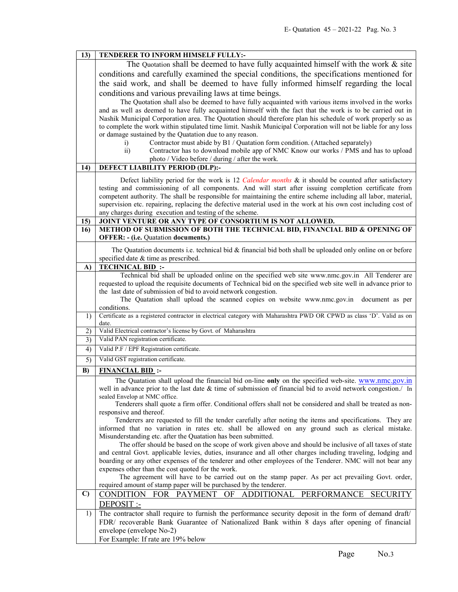| 13)          | TENDERER TO INFORM HIMSELF FULLY:-                                                                                                                                                                     |  |  |
|--------------|--------------------------------------------------------------------------------------------------------------------------------------------------------------------------------------------------------|--|--|
|              | The Quotation shall be deemed to have fully acquainted himself with the work $\&$ site                                                                                                                 |  |  |
|              | conditions and carefully examined the special conditions, the specifications mentioned for                                                                                                             |  |  |
|              | the said work, and shall be deemed to have fully informed himself regarding the local                                                                                                                  |  |  |
|              | conditions and various prevailing laws at time beings.                                                                                                                                                 |  |  |
|              | The Quotation shall also be deemed to have fully acquainted with various items involved in the works                                                                                                   |  |  |
|              | and as well as deemed to have fully acquainted himself with the fact that the work is to be carried out in                                                                                             |  |  |
|              | Nashik Municipal Corporation area. The Quotation should therefore plan his schedule of work properly so as                                                                                             |  |  |
|              | to complete the work within stipulated time limit. Nashik Municipal Corporation will not be liable for any loss                                                                                        |  |  |
|              | or damage sustained by the Quatation due to any reason.                                                                                                                                                |  |  |
|              | Contractor must abide by B1 / Quatation form condition. (Attached separately)<br>$\mathbf{i}$                                                                                                          |  |  |
|              | $\overline{ii}$ )<br>Contractor has to download mobile app of NMC Know our works / PMS and has to upload                                                                                               |  |  |
|              | photo / Video before / during / after the work.                                                                                                                                                        |  |  |
| 14)          | DEFECT LIABILITY PERIOD (DLP):-                                                                                                                                                                        |  |  |
|              | Defect liability period for the work is 12 Calendar months & it should be counted after satisfactory                                                                                                   |  |  |
|              | testing and commissioning of all components. And will start after issuing completion certificate from                                                                                                  |  |  |
|              | competent authority. The shall be responsible for maintaining the entire scheme including all labor, material,                                                                                         |  |  |
|              | supervision etc. repairing, replacing the defective material used in the work at his own cost including cost of                                                                                        |  |  |
|              | any charges during execution and testing of the scheme.                                                                                                                                                |  |  |
| 15)<br>16)   | JOINT VENTURE OR ANY TYPE OF CONSORTIUM IS NOT ALLOWED.<br>METHOD OF SUBMISSION OF BOTH THE TECHNICAL BID, FINANCIAL BID & OPENING OF                                                                  |  |  |
|              | <b>OFFER: - (i.e. Quatation documents.)</b>                                                                                                                                                            |  |  |
|              |                                                                                                                                                                                                        |  |  |
|              | The Quatation documents i.e. technical bid $\&$ financial bid both shall be uploaded only online on or before                                                                                          |  |  |
| $\bf{A}$     | specified date & time as prescribed.<br><b>TECHNICAL BID:</b>                                                                                                                                          |  |  |
|              | Technical bid shall be uploaded online on the specified web site www.nmc.gov.in All Tenderer are                                                                                                       |  |  |
|              | requested to upload the requisite documents of Technical bid on the specified web site well in advance prior to                                                                                        |  |  |
|              | the last date of submission of bid to avoid network congestion.                                                                                                                                        |  |  |
|              | The Quatation shall upload the scanned copies on website www.nmc.gov.in<br>document as per                                                                                                             |  |  |
|              | conditions.                                                                                                                                                                                            |  |  |
| 1)           | Certificate as a registered contractor in electrical category with Maharashtra PWD OR CPWD as class 'D'. Valid as on<br>date.                                                                          |  |  |
| 2)           | Valid Electrical contractor's license by Govt. of Maharashtra                                                                                                                                          |  |  |
| 3)           | Valid PAN registration certificate.                                                                                                                                                                    |  |  |
| 4)           | Valid P.F / EPF Registration certificate.                                                                                                                                                              |  |  |
| 5)           | Valid GST registration certificate.                                                                                                                                                                    |  |  |
| B)           | <b>FINANCIAL BID:</b>                                                                                                                                                                                  |  |  |
|              | The Quatation shall upload the financial bid on-line only on the specified web-site. www.nmc.gov.in                                                                                                    |  |  |
|              | well in advance prior to the last date & time of submission of financial bid to avoid network congestion./ In                                                                                          |  |  |
|              | sealed Envelop at NMC office.                                                                                                                                                                          |  |  |
|              | Tenderers shall quote a firm offer. Conditional offers shall not be considered and shall be treated as non-<br>responsive and thereof.                                                                 |  |  |
|              | Tenderers are requested to fill the tender carefully after noting the items and specifications. They are                                                                                               |  |  |
|              | informed that no variation in rates etc. shall be allowed on any ground such as clerical mistake.                                                                                                      |  |  |
|              | Misunderstanding etc. after the Quatation has been submitted.                                                                                                                                          |  |  |
|              | The offer should be based on the scope of work given above and should be inclusive of all taxes of state                                                                                               |  |  |
|              | and central Govt. applicable levies, duties, insurance and all other charges including traveling, lodging and                                                                                          |  |  |
|              | boarding or any other expenses of the tenderer and other employees of the Tenderer. NMC will not bear any                                                                                              |  |  |
|              | expenses other than the cost quoted for the work.<br>The agreement will have to be carried out on the stamp paper. As per act prevailing Govt. order,                                                  |  |  |
|              | required amount of stamp paper will be purchased by the tenderer.                                                                                                                                      |  |  |
| $\mathbf{C}$ |                                                                                                                                                                                                        |  |  |
|              |                                                                                                                                                                                                        |  |  |
|              | CONDITION FOR PAYMENT OF<br>ADDITIONAL PERFORMANCE<br><b>SECURITY</b>                                                                                                                                  |  |  |
| 1)           | DEPOSIT :-                                                                                                                                                                                             |  |  |
|              | The contractor shall require to furnish the performance security deposit in the form of demand draft/<br>FDR/ recoverable Bank Guarantee of Nationalized Bank within 8 days after opening of financial |  |  |
|              | envelope (envelope No-2)                                                                                                                                                                               |  |  |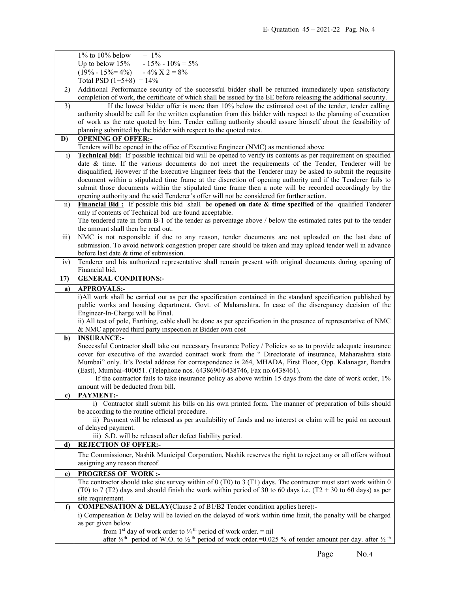|                 | $1\%$ to $10\%$ below<br>$-1\%$                                                                                                                                                                                                                                                  |  |  |
|-----------------|----------------------------------------------------------------------------------------------------------------------------------------------------------------------------------------------------------------------------------------------------------------------------------|--|--|
|                 | $-15\% - 10\% = 5\%$<br>Up to below $15%$                                                                                                                                                                                                                                        |  |  |
|                 | $(19\% - 15\% = 4\%)$ $-4\%$ $X$ 2 = 8%                                                                                                                                                                                                                                          |  |  |
|                 | Total PSD $(1+5+8) = 14\%$                                                                                                                                                                                                                                                       |  |  |
| 2)              | Additional Performance security of the successful bidder shall be returned immediately upon satisfactory                                                                                                                                                                         |  |  |
|                 | completion of work, the certificate of which shall be issued by the EE before releasing the additional security.                                                                                                                                                                 |  |  |
| 3)              | If the lowest bidder offer is more than 10% below the estimated cost of the tender, tender calling                                                                                                                                                                               |  |  |
|                 | authority should be call for the written explanation from this bidder with respect to the planning of execution                                                                                                                                                                  |  |  |
|                 | of work as the rate quoted by him. Tender calling authority should assure himself about the feasibility of                                                                                                                                                                       |  |  |
|                 | planning submitted by the bidder with respect to the quoted rates.                                                                                                                                                                                                               |  |  |
| D)              | <b>OPENING OF OFFER:-</b>                                                                                                                                                                                                                                                        |  |  |
|                 | Tenders will be opened in the office of Executive Engineer (NMC) as mentioned above                                                                                                                                                                                              |  |  |
| $\ddot{1}$      | <b>Technical bid:</b> If possible technical bid will be opened to verify its contents as per requirement on specified                                                                                                                                                            |  |  |
|                 | date & time. If the various documents do not meet the requirements of the Tender, Tenderer will be                                                                                                                                                                               |  |  |
|                 | disqualified, However if the Executive Engineer feels that the Tenderer may be asked to submit the requisite                                                                                                                                                                     |  |  |
|                 | document within a stipulated time frame at the discretion of opening authority and if the Tenderer fails to                                                                                                                                                                      |  |  |
|                 | submit those documents within the stipulated time frame then a note will be recorded accordingly by the                                                                                                                                                                          |  |  |
|                 | opening authority and the said Tenderer's offer will not be considered for further action.                                                                                                                                                                                       |  |  |
| $\overline{11}$ | Financial Bid: If possible this bid shall be opened on date $\&$ time specified of the qualified Tenderer                                                                                                                                                                        |  |  |
|                 | only if contents of Technical bid are found acceptable.                                                                                                                                                                                                                          |  |  |
|                 | The tendered rate in form B-1 of the tender as percentage above / below the estimated rates put to the tender                                                                                                                                                                    |  |  |
|                 | the amount shall then be read out.                                                                                                                                                                                                                                               |  |  |
| iii)            | NMC is not responsible if due to any reason, tender documents are not uploaded on the last date of                                                                                                                                                                               |  |  |
|                 | submission. To avoid network congestion proper care should be taken and may upload tender well in advance                                                                                                                                                                        |  |  |
|                 | before last date & time of submission.                                                                                                                                                                                                                                           |  |  |
| iv)             | Tenderer and his authorized representative shall remain present with original documents during opening of                                                                                                                                                                        |  |  |
|                 | Financial bid.                                                                                                                                                                                                                                                                   |  |  |
| 17)             | <b>GENERAL CONDITIONS:-</b>                                                                                                                                                                                                                                                      |  |  |
| a)              | <b>APPROVALS:-</b>                                                                                                                                                                                                                                                               |  |  |
|                 | i)All work shall be carried out as per the specification contained in the standard specification published by                                                                                                                                                                    |  |  |
|                 |                                                                                                                                                                                                                                                                                  |  |  |
|                 |                                                                                                                                                                                                                                                                                  |  |  |
|                 | public works and housing department, Govt. of Maharashtra. In case of the discrepancy decision of the                                                                                                                                                                            |  |  |
|                 | Engineer-In-Charge will be Final.                                                                                                                                                                                                                                                |  |  |
|                 | ii) All test of pole, Earthing, cable shall be done as per specification in the presence of representative of NMC<br>& NMC approved third party inspection at Bidder own cost                                                                                                    |  |  |
| b)              | <b>INSURANCE:-</b>                                                                                                                                                                                                                                                               |  |  |
|                 | Successful Contractor shall take out necessary Insurance Policy / Policies so as to provide adequate insurance                                                                                                                                                                   |  |  |
|                 | cover for executive of the awarded contract work from the " Directorate of insurance, Maharashtra state                                                                                                                                                                          |  |  |
|                 | Mumbai" only. It's Postal address for correspondence is 264, MHADA, First Floor, Opp. Kalanagar, Bandra                                                                                                                                                                          |  |  |
|                 | (East), Mumbai-400051. (Telephone nos. 6438690/6438746, Fax no.6438461).                                                                                                                                                                                                         |  |  |
|                 | If the contractor fails to take insurance policy as above within 15 days from the date of work order, 1%                                                                                                                                                                         |  |  |
|                 | amount will be deducted from bill.                                                                                                                                                                                                                                               |  |  |
| c)              | <b>PAYMENT:-</b>                                                                                                                                                                                                                                                                 |  |  |
|                 | i) Contractor shall submit his bills on his own printed form. The manner of preparation of bills should                                                                                                                                                                          |  |  |
|                 | be according to the routine official procedure.                                                                                                                                                                                                                                  |  |  |
|                 | ii) Payment will be released as per availability of funds and no interest or claim will be paid on account                                                                                                                                                                       |  |  |
|                 | of delayed payment.                                                                                                                                                                                                                                                              |  |  |
|                 | iii) S.D. will be released after defect liability period.                                                                                                                                                                                                                        |  |  |
| d)              | <b>REJECTION OF OFFER:-</b>                                                                                                                                                                                                                                                      |  |  |
|                 | The Commissioner, Nashik Municipal Corporation, Nashik reserves the right to reject any or all offers without                                                                                                                                                                    |  |  |
|                 | assigning any reason thereof.                                                                                                                                                                                                                                                    |  |  |
| e)              | <b>PROGRESS OF WORK:-</b>                                                                                                                                                                                                                                                        |  |  |
|                 | The contractor should take site survey within of $0$ (T0) to $3$ (T1) days. The contractor must start work within $0$                                                                                                                                                            |  |  |
|                 | (T0) to 7 (T2) days and should finish the work within period of 30 to 60 days i.e. (T2 + 30 to 60 days) as per                                                                                                                                                                   |  |  |
|                 | site requirement.                                                                                                                                                                                                                                                                |  |  |
| $\mathbf{f}$    | COMPENSATION & DELAY(Clause 2 of B1/B2 Tender condition applies here):-                                                                                                                                                                                                          |  |  |
|                 | i) Compensation & Delay will be levied on the delayed of work within time limit, the penalty will be charged                                                                                                                                                                     |  |  |
|                 | as per given below                                                                                                                                                                                                                                                               |  |  |
|                 | from 1 <sup>st</sup> day of work order to $\frac{1}{4}$ <sup>th</sup> period of work order. = nil<br>after $\frac{1}{4}$ <sup>th</sup> period of W.O. to $\frac{1}{2}$ <sup>th</sup> period of work order. = 0.025 % of tender amount per day. after $\frac{1}{2}$ <sup>th</sup> |  |  |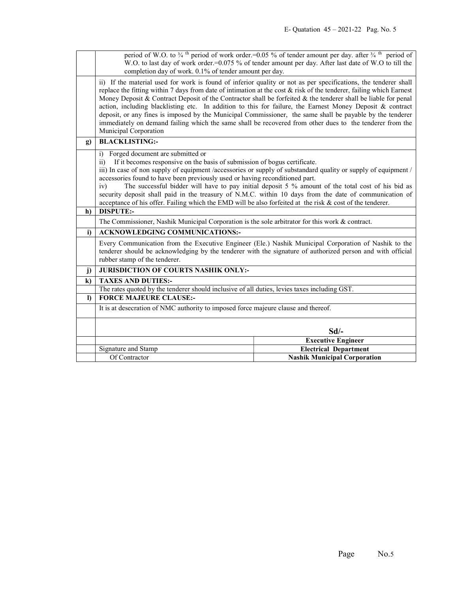|              | period of W.O. to $\frac{3}{4}$ <sup>th</sup> period of work order.=0.05 % of tender amount per day. after $\frac{3}{4}$ <sup>th</sup> period of<br>W.O. to last day of work order.=0.075 % of tender amount per day. After last date of W.O to till the                                                                                                                                                                                                                                                                                                                                                                                                                                                                   |                                                                     |  |
|--------------|----------------------------------------------------------------------------------------------------------------------------------------------------------------------------------------------------------------------------------------------------------------------------------------------------------------------------------------------------------------------------------------------------------------------------------------------------------------------------------------------------------------------------------------------------------------------------------------------------------------------------------------------------------------------------------------------------------------------------|---------------------------------------------------------------------|--|
|              | completion day of work. 0.1% of tender amount per day.                                                                                                                                                                                                                                                                                                                                                                                                                                                                                                                                                                                                                                                                     |                                                                     |  |
|              | ii) If the material used for work is found of inferior quality or not as per specifications, the tenderer shall<br>replace the fitting within 7 days from date of intimation at the cost $\&$ risk of the tenderer, failing which Earnest<br>Money Deposit & Contract Deposit of the Contractor shall be forfeited & the tenderer shall be liable for penal<br>action, including blacklisting etc. In addition to this for failure, the Earnest Money Deposit & contract<br>deposit, or any fines is imposed by the Municipal Commissioner, the same shall be payable by the tenderer<br>immediately on demand failing which the same shall be recovered from other dues to the tenderer from the<br>Municipal Corporation |                                                                     |  |
| g)           | <b>BLACKLISTING:-</b>                                                                                                                                                                                                                                                                                                                                                                                                                                                                                                                                                                                                                                                                                                      |                                                                     |  |
| h)           | Forged document are submitted or<br>i)<br>If it becomes responsive on the basis of submission of bogus certificate.<br>$\overline{11}$<br>iii) In case of non supply of equipment /accessories or supply of substandard quality or supply of equipment /<br>accessories found to have been previously used or having reconditioned part.<br>The successful bidder will have to pay initial deposit 5 % amount of the total cost of his bid as<br>iv)<br>security deposit shall paid in the treasury of N.M.C. within 10 days from the date of communication of<br>acceptance of his offer. Failing which the EMD will be also forfeited at the risk & cost of the tenderer.<br><b>DISPUTE:-</b>                            |                                                                     |  |
|              | The Commissioner, Nashik Municipal Corporation is the sole arbitrator for this work & contract.                                                                                                                                                                                                                                                                                                                                                                                                                                                                                                                                                                                                                            |                                                                     |  |
| i)           | <b>ACKNOWLEDGING COMMUNICATIONS:-</b>                                                                                                                                                                                                                                                                                                                                                                                                                                                                                                                                                                                                                                                                                      |                                                                     |  |
|              | Every Communication from the Executive Engineer (Ele.) Nashik Municipal Corporation of Nashik to the<br>tenderer should be acknowledging by the tenderer with the signature of authorized person and with official<br>rubber stamp of the tenderer.                                                                                                                                                                                                                                                                                                                                                                                                                                                                        |                                                                     |  |
| $\mathbf{j}$ | <b>JURISDICTION OF COURTS NASHIK ONLY:-</b>                                                                                                                                                                                                                                                                                                                                                                                                                                                                                                                                                                                                                                                                                |                                                                     |  |
| $\bf k$      | <b>TAXES AND DUTIES:-</b>                                                                                                                                                                                                                                                                                                                                                                                                                                                                                                                                                                                                                                                                                                  |                                                                     |  |
|              | The rates quoted by the tenderer should inclusive of all duties, levies taxes including GST.                                                                                                                                                                                                                                                                                                                                                                                                                                                                                                                                                                                                                               |                                                                     |  |
|              |                                                                                                                                                                                                                                                                                                                                                                                                                                                                                                                                                                                                                                                                                                                            |                                                                     |  |
| $\bf{D}$     | <b>FORCE MAJEURE CLAUSE:-</b>                                                                                                                                                                                                                                                                                                                                                                                                                                                                                                                                                                                                                                                                                              |                                                                     |  |
|              | It is at desecration of NMC authority to imposed force majeure clause and thereof.                                                                                                                                                                                                                                                                                                                                                                                                                                                                                                                                                                                                                                         |                                                                     |  |
|              |                                                                                                                                                                                                                                                                                                                                                                                                                                                                                                                                                                                                                                                                                                                            | Sd                                                                  |  |
|              |                                                                                                                                                                                                                                                                                                                                                                                                                                                                                                                                                                                                                                                                                                                            | <b>Executive Engineer</b>                                           |  |
|              | Signature and Stamp<br>Of Contractor                                                                                                                                                                                                                                                                                                                                                                                                                                                                                                                                                                                                                                                                                       | <b>Electrical Department</b><br><b>Nashik Municipal Corporation</b> |  |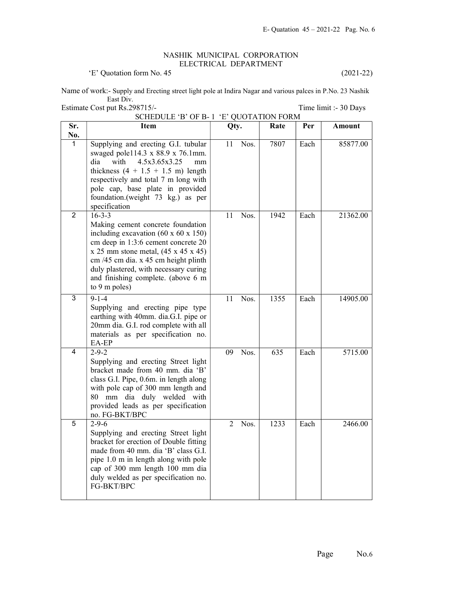## NASHIK MUNICIPAL CORPORATION ELECTRICAL DEPARTMENT

'E' Quotation form No. 45 (2021-22)

Name of work:- Supply and Erecting street light pole at Indira Nagar and various palces in P.No. 23 Nashik East Div.

 SCHEDULE 'B' OF B- 1 'E' QUOTATION FORM Sr. No. Item 1980 Oty. Rate Per Amount 1 Supplying and erecting G.I. tubular swaged pole114.3 x 88.9 x 76.1mm. dia with 4.5x3.65x3.25 mm thickness  $(4 + 1.5 + 1.5 \text{ m})$  length respectively and total 7 m long with pole cap, base plate in provided foundation.(weight 73 kg.) as per specification 11 Nos. 7807 Each 85877.00  $2 \overline{)16-3-3}$ Making cement concrete foundation including excavation (60 x 60 x 150) cm deep in 1:3:6 cement concrete 20  $x 25$  mm stone metal,  $(45 x 45 x 45)$ cm /45 cm dia. x 45 cm height plinth duly plastered, with necessary curing and finishing complete. (above 6 m to 9 m poles) 11 Nos. 1942 Each 21362.00  $3 \mid 9-1-4$ Supplying and erecting pipe type earthing with 40mm. dia.G.I. pipe or 20mm dia. G.I. rod complete with all materials as per specification no. EA-EP 11 Nos. 1355 Each 14905.00  $4 \mid 2 - 9 - 2 \mid$ Supplying and erecting Street light bracket made from 40 mm. dia 'B' class G.I. Pipe, 0.6m. in length along with pole cap of 300 mm length and 80 mm dia duly welded with provided leads as per specification no. FG-BKT/BPC 09 Nos. 635 Each 5715.00  $5 \t 2-9-6$ Supplying and erecting Street light bracket for erection of Double fitting made from 40 mm. dia 'B' class G.I. pipe 1.0 m in length along with pole cap of 300 mm length 100 mm dia duly welded as per specification no. FG-BKT/BPC 2 Nos. 1233 Each 2466.00

Estimate Cost put Rs.298715/- Time limit :- 30 Days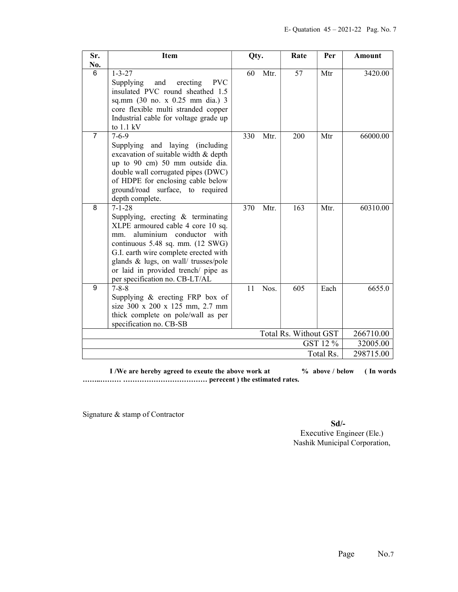| Sr.      | <b>Item</b>                                                                                                                                                                                                                                                                                                                | Qty. |      | Rate                  | Per       | Amount    |
|----------|----------------------------------------------------------------------------------------------------------------------------------------------------------------------------------------------------------------------------------------------------------------------------------------------------------------------------|------|------|-----------------------|-----------|-----------|
| No.      |                                                                                                                                                                                                                                                                                                                            |      |      |                       |           |           |
| 6        | $1 - 3 - 27$<br><b>PVC</b><br>Supplying<br>and<br>erecting<br>insulated PVC round sheathed 1.5<br>sq.mm (30 no. x 0.25 mm dia.) 3<br>core flexible multi stranded copper<br>Industrial cable for voltage grade up<br>to 1.1 kV                                                                                             | 60   | Mtr. | 57                    | Mtr       | 3420.00   |
| 7        | $7 - 6 - 9$<br>Supplying and laying (including<br>excavation of suitable width & depth<br>up to 90 cm) 50 mm outside dia.<br>double wall corrugated pipes (DWC)<br>of HDPE for enclosing cable below<br>ground/road surface, to required<br>depth complete.                                                                | 330  | Mtr. | 200                   | Mtr       | 66000.00  |
| 8        | $7 - 1 - 28$<br>Supplying, erecting $\&$ terminating<br>XLPE armoured cable 4 core 10 sq.<br>aluminium conductor with<br>mm.<br>continuous 5.48 sq. mm. (12 SWG)<br>G.I. earth wire complete erected with<br>glands & lugs, on wall/ trusses/pole<br>or laid in provided trench/ pipe as<br>per specification no. CB-LT/AL | 370  | Mtr. | 163                   | Mtr.      | 60310.00  |
| 9        | $7 - 8 - 8$<br>Supplying & erecting FRP box of<br>size 300 x 200 x 125 mm, 2.7 mm<br>thick complete on pole/wall as per<br>specification no. CB-SB                                                                                                                                                                         | 11   | Nos. | 605                   | Each      | 6655.0    |
|          |                                                                                                                                                                                                                                                                                                                            |      |      | Total Rs. Without GST |           | 266710.00 |
| GST 12 % |                                                                                                                                                                                                                                                                                                                            |      |      | 32005.00              |           |           |
|          |                                                                                                                                                                                                                                                                                                                            |      |      |                       | Total Rs. | 298715.00 |

I /We are hereby agreed to exeute the above work at  $\%$  above / below (In words) ……..……… ……………………………… perecent ) the estimated rates.

Signature & stamp of Contractor

Sd/-

 Executive Engineer (Ele.) Nashik Municipal Corporation,